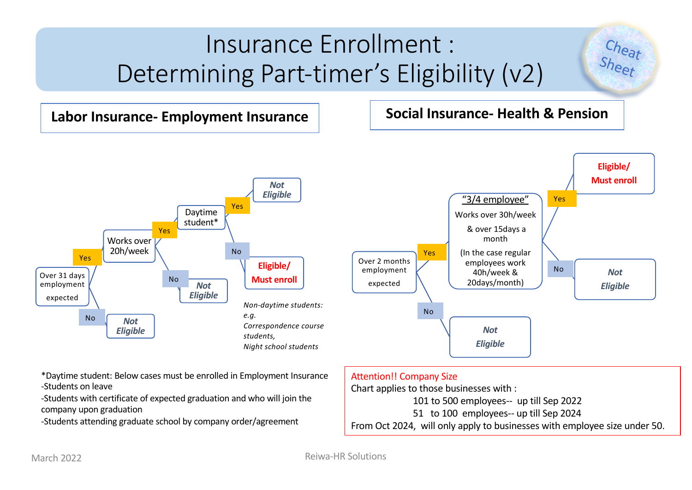# Insurance Enrollment : Determining Part-timer's Eligibility (v2)

### **Labor Insurance- Employment Insurance Social Insurance- Health & Pension**

Cheat<br>Sheet





\*Daytime student: Below cases must be enrolled in Employment Insurance -Students on leave

-Students with certificate of expected graduation and who will join the company upon graduation

-Students attending graduate school by company order/agreement

### Attention!! Company Size

Chart applies to those businesses with :

101 to 500 employees-- up till Sep 2022

51 to 100 employees-- up till Sep 2024

From Oct 2024, will only apply to businesses with employee size under 50.